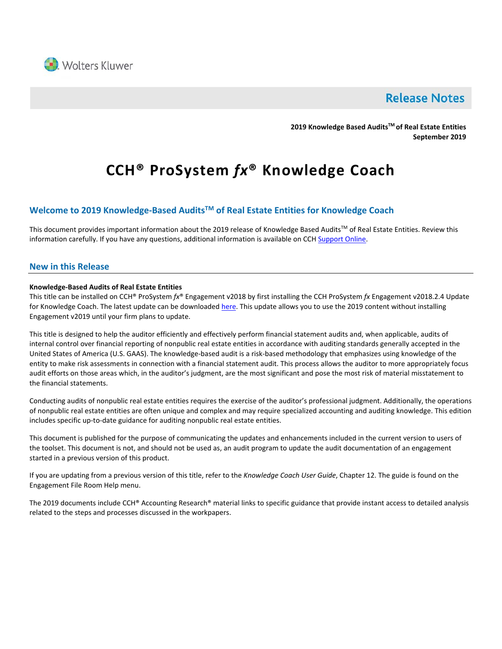

# **Release Notes**

**2019 Knowledge Based AuditsTM of Real Estate Entities September 2019**

# **CCH® ProSystem** *fx***® Knowledge Coach**

# **Welcome to 2019 Knowledge-Based AuditsTM of Real Estate Entities for Knowledge Coach**

This document provides important information about the 2019 release of Knowledge Based Audits™ of Real Estate Entities. Review this information carefully. If you have any questions, additional information is available on CCH [Support Online.](http://support.cch.com/productsupport/)

#### **New in this Release**

#### **Knowledge-Based Audits of Real Estate Entities**

This title can be installed on CCH® ProSystem *fx*® Engagement v2018 by first installing the CCH ProSystem *fx* Engagement v2018.2.4 Update for Knowledge Coach. The latest update can be downloaded [here.](https://support.cch.com/updates/Engagement/release2018/release2018.aspx) This update allows you to use the 2019 content without installing Engagement v2019 until your firm plans to update.

This title is designed to help the auditor efficiently and effectively perform financial statement audits and, when applicable, audits of internal control over financial reporting of nonpublic real estate entities in accordance with auditing standards generally accepted in the United States of America (U.S. GAAS). The knowledge-based audit is a risk-based methodology that emphasizes using knowledge of the entity to make risk assessments in connection with a financial statement audit. This process allows the auditor to more appropriately focus audit efforts on those areas which, in the auditor's judgment, are the most significant and pose the most risk of material misstatement to the financial statements.

Conducting audits of nonpublic real estate entities requires the exercise of the auditor's professional judgment. Additionally, the operations of nonpublic real estate entities are often unique and complex and may require specialized accounting and auditing knowledge. This edition includes specific up-to-date guidance for auditing nonpublic real estate entities.

This document is published for the purpose of communicating the updates and enhancements included in the current version to users of the toolset. This document is not, and should not be used as, an audit program to update the audit documentation of an engagement started in a previous version of this product.

If you are updating from a previous version of this title, refer to the *Knowledge Coach User Guide*, Chapter 12. The guide is found on the Engagement File Room Help menu.

The 2019 documents include CCH® Accounting Research® material links to specific guidance that provide instant access to detailed analysis related to the steps and processes discussed in the workpapers.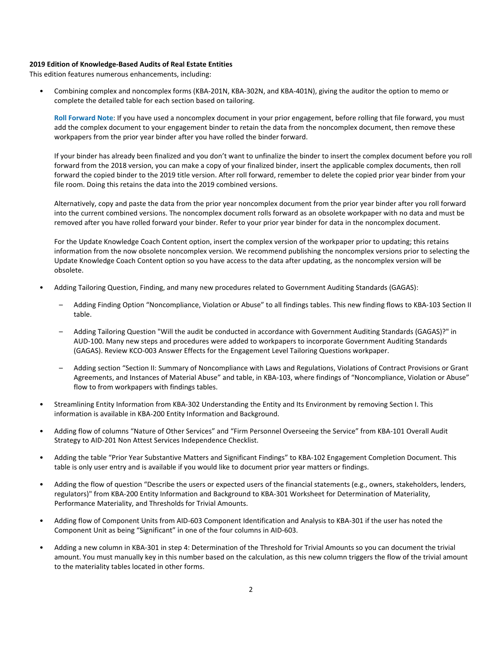#### **2019 Edition of Knowledge-Based Audits of Real Estate Entities**

This edition features numerous enhancements, including:

• Combining complex and noncomplex forms (KBA-201N, KBA-302N, and KBA-401N), giving the auditor the option to memo or complete the detailed table for each section based on tailoring.

**Roll Forward Note**: If you have used a noncomplex document in your prior engagement, before rolling that file forward, you must add the complex document to your engagement binder to retain the data from the noncomplex document, then remove these workpapers from the prior year binder after you have rolled the binder forward.

If your binder has already been finalized and you don't want to unfinalize the binder to insert the complex document before you roll forward from the 2018 version, you can make a copy of your finalized binder, insert the applicable complex documents, then roll forward the copied binder to the 2019 title version. After roll forward, remember to delete the copied prior year binder from your file room. Doing this retains the data into the 2019 combined versions.

Alternatively, copy and paste the data from the prior year noncomplex document from the prior year binder after you roll forward into the current combined versions. The noncomplex document rolls forward as an obsolete workpaper with no data and must be removed after you have rolled forward your binder. Refer to your prior year binder for data in the noncomplex document.

For the Update Knowledge Coach Content option, insert the complex version of the workpaper prior to updating; this retains information from the now obsolete noncomplex version. We recommend publishing the noncomplex versions prior to selecting the Update Knowledge Coach Content option so you have access to the data after updating, as the noncomplex version will be obsolete.

- Adding Tailoring Question, Finding, and many new procedures related to Government Auditing Standards (GAGAS):
	- Adding Finding Option "Noncompliance, Violation or Abuse" to all findings tables. This new finding flows to KBA-103 Section II table.
	- Adding Tailoring Question "Will the audit be conducted in accordance with Government Auditing Standards (GAGAS)?" in AUD-100. Many new steps and procedures were added to workpapers to incorporate Government Auditing Standards (GAGAS). Review KCO-003 Answer Effects for the Engagement Level Tailoring Questions workpaper.
	- Adding section "Section II: Summary of Noncompliance with Laws and Regulations, Violations of Contract Provisions or Grant Agreements, and Instances of Material Abuse" and table, in KBA-103, where findings of "Noncompliance, Violation or Abuse" flow to from workpapers with findings tables.
- Streamlining Entity Information from KBA-302 Understanding the Entity and Its Environment by removing Section I. This information is available in KBA-200 Entity Information and Background.
- Adding flow of columns "Nature of Other Services" and "Firm Personnel Overseeing the Service" from KBA-101 Overall Audit Strategy to AID-201 Non Attest Services Independence Checklist.
- Adding the table "Prior Year Substantive Matters and Significant Findings" to KBA-102 Engagement Completion Document. This table is only user entry and is available if you would like to document prior year matters or findings.
- Adding the flow of question "Describe the users or expected users of the financial statements (e.g., owners, stakeholders, lenders, regulators)" from KBA-200 Entity Information and Background to KBA-301 Worksheet for Determination of Materiality, Performance Materiality, and Thresholds for Trivial Amounts.
- Adding flow of Component Units from AID-603 Component Identification and Analysis to KBA-301 if the user has noted the Component Unit as being "Significant" in one of the four columns in AID-603.
- Adding a new column in KBA-301 in step 4: Determination of the Threshold for Trivial Amounts so you can document the trivial amount. You must manually key in this number based on the calculation, as this new column triggers the flow of the trivial amount to the materiality tables located in other forms.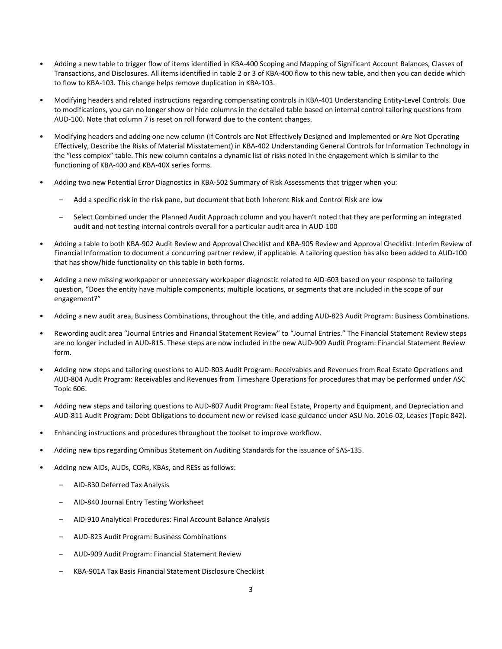- Adding a new table to trigger flow of items identified in KBA-400 Scoping and Mapping of Significant Account Balances, Classes of Transactions, and Disclosures. All items identified in table 2 or 3 of KBA-400 flow to this new table, and then you can decide which to flow to KBA-103. This change helps remove duplication in KBA-103.
- Modifying headers and related instructions regarding compensating controls in KBA-401 Understanding Entity-Level Controls. Due to modifications, you can no longer show or hide columns in the detailed table based on internal control tailoring questions from AUD-100. Note that column 7 is reset on roll forward due to the content changes.
- Modifying headers and adding one new column (If Controls are Not Effectively Designed and Implemented or Are Not Operating Effectively, Describe the Risks of Material Misstatement) in KBA-402 Understanding General Controls for Information Technology in the "less complex" table. This new column contains a dynamic list of risks noted in the engagement which is similar to the functioning of KBA-400 and KBA-40X series forms.
- Adding two new Potential Error Diagnostics in KBA-502 Summary of Risk Assessments that trigger when you:
	- Add a specific risk in the risk pane, but document that both Inherent Risk and Control Risk are low
	- Select Combined under the Planned Audit Approach column and you haven't noted that they are performing an integrated audit and not testing internal controls overall for a particular audit area in AUD-100
- Adding a table to both KBA-902 Audit Review and Approval Checklist and KBA-905 Review and Approval Checklist: Interim Review of Financial Information to document a concurring partner review, if applicable. A tailoring question has also been added to AUD-100 that has show/hide functionality on this table in both forms.
- Adding a new missing workpaper or unnecessary workpaper diagnostic related to AID-603 based on your response to tailoring question, "Does the entity have multiple components, multiple locations, or segments that are included in the scope of our engagement?"
- Adding a new audit area, Business Combinations, throughout the title, and adding AUD-823 Audit Program: Business Combinations.
- Rewording audit area "Journal Entries and Financial Statement Review" to "Journal Entries." The Financial Statement Review steps are no longer included in AUD-815. These steps are now included in the new AUD-909 Audit Program: Financial Statement Review form.
- Adding new steps and tailoring questions to AUD-803 Audit Program: Receivables and Revenues from Real Estate Operations and AUD-804 Audit Program: Receivables and Revenues from Timeshare Operations for procedures that may be performed under ASC Topic 606.
- Adding new steps and tailoring questions to AUD-807 Audit Program: Real Estate, Property and Equipment, and Depreciation and AUD-811 Audit Program: Debt Obligations to document new or revised lease guidance under ASU No. 2016-02, Leases (Topic 842).
- Enhancing instructions and procedures throughout the toolset to improve workflow.
- Adding new tips regarding Omnibus Statement on Auditing Standards for the issuance of SAS-135.
- Adding new AIDs, AUDs, CORs, KBAs, and RESs as follows:
	- AID-830 Deferred Tax Analysis
	- AID-840 Journal Entry Testing Worksheet
	- AID-910 Analytical Procedures: Final Account Balance Analysis
	- AUD-823 Audit Program: Business Combinations
	- AUD-909 Audit Program: Financial Statement Review
	- KBA-901A Tax Basis Financial Statement Disclosure Checklist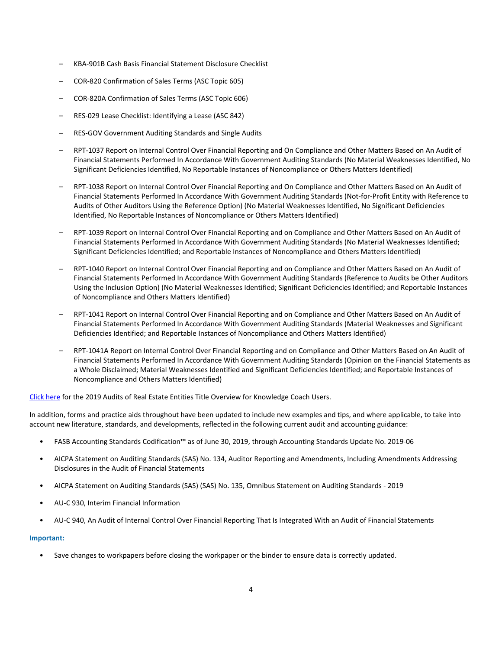- KBA-901B Cash Basis Financial Statement Disclosure Checklist
- COR-820 Confirmation of Sales Terms (ASC Topic 605)
- COR-820A Confirmation of Sales Terms (ASC Topic 606)
- RES-029 Lease Checklist: Identifying a Lease (ASC 842)
- RES-GOV Government Auditing Standards and Single Audits
- RPT-1037 Report on Internal Control Over Financial Reporting and On Compliance and Other Matters Based on An Audit of Financial Statements Performed In Accordance With Government Auditing Standards (No Material Weaknesses Identified, No Significant Deficiencies Identified, No Reportable Instances of Noncompliance or Others Matters Identified)
- RPT-1038 Report on Internal Control Over Financial Reporting and On Compliance and Other Matters Based on An Audit of Financial Statements Performed In Accordance With Government Auditing Standards (Not-for-Profit Entity with Reference to Audits of Other Auditors Using the Reference Option) (No Material Weaknesses Identified, No Significant Deficiencies Identified, No Reportable Instances of Noncompliance or Others Matters Identified)
- RPT-1039 Report on Internal Control Over Financial Reporting and on Compliance and Other Matters Based on An Audit of Financial Statements Performed In Accordance With Government Auditing Standards (No Material Weaknesses Identified; Significant Deficiencies Identified; and Reportable Instances of Noncompliance and Others Matters Identified)
- RPT-1040 Report on Internal Control Over Financial Reporting and on Compliance and Other Matters Based on An Audit of Financial Statements Performed In Accordance With Government Auditing Standards (Reference to Audits be Other Auditors Using the Inclusion Option) (No Material Weaknesses Identified; Significant Deficiencies Identified; and Reportable Instances of Noncompliance and Others Matters Identified)
- RPT-1041 Report on Internal Control Over Financial Reporting and on Compliance and Other Matters Based on An Audit of Financial Statements Performed In Accordance With Government Auditing Standards (Material Weaknesses and Significant Deficiencies Identified; and Reportable Instances of Noncompliance and Others Matters Identified)
- RPT-1041A Report on Internal Control Over Financial Reporting and on Compliance and Other Matters Based on An Audit of Financial Statements Performed In Accordance With Government Auditing Standards (Opinion on the Financial Statements as a Whole Disclaimed; Material Weaknesses Identified and Significant Deficiencies Identified; and Reportable Instances of Noncompliance and Others Matters Identified)

[Click here](http://support.cch.com/updates/KnowledgeCoach/pdf/guides_tab/2019%20Real%20Estate%20Entities%20Title%20Overview%20for%20Knowledge%20Coach%20Users.pdf) for the 2019 Audits of Real Estate Entities Title Overview for Knowledge Coach Users.

In addition, forms and practice aids throughout have been updated to include new examples and tips, and where applicable, to take into account new literature, standards, and developments, reflected in the following current audit and accounting guidance:

- FASB Accounting Standards Codification™ as of June 30, 2019, through Accounting Standards Update No. 2019-06
- AICPA Statement on Auditing Standards (SAS) No. 134, Auditor Reporting and Amendments, Including Amendments Addressing Disclosures in the Audit of Financial Statements
- AICPA Statement on Auditing Standards (SAS) (SAS) No. 135, Omnibus Statement on Auditing Standards 2019
- AU-C 930, Interim Financial Information
- AU-C 940, An Audit of Internal Control Over Financial Reporting That Is Integrated With an Audit of Financial Statements

#### **Important:**

• Save changes to workpapers before closing the workpaper or the binder to ensure data is correctly updated.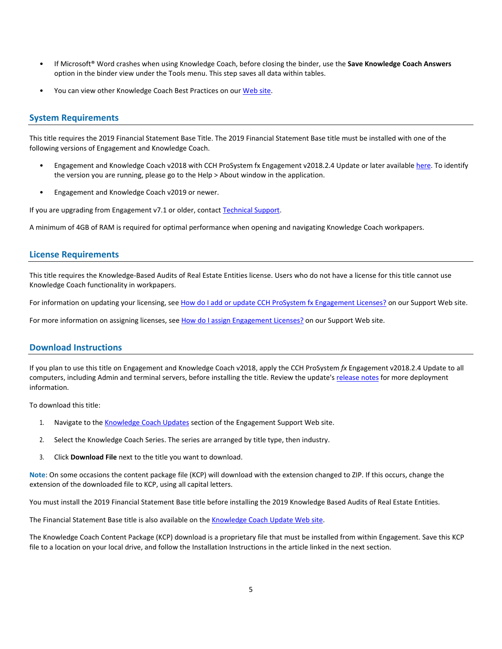- If Microsoft® Word crashes when using Knowledge Coach, before closing the binder, use the **Save Knowledge Coach Answers** option in the binder view under the Tools menu. This step saves all data within tables.
- You can view other Knowledge Coach Best Practices on ou[r Web](https://support.cch.com/kb/solution/000034942/sw34947) site.

#### **System Requirements**

This title requires the 2019 Financial Statement Base Title. The 2019 Financial Statement Base title must be installed with one of the following versions of Engagement and Knowledge Coach.

- Engagement and Knowledge Coach v2018 with CCH ProSystem fx Engagement v2018.2.4 Update or later available [here.](https://support.cch.com/updates/Engagement/release2018/release2018.aspx) To identify the version you are running, please go to the Help > About window in the application.
- Engagement and Knowledge Coach v2019 or newer.

If you are upgrading from Engagement v7.1 or older, contact [Technical Support.](https://support.cch.com/contact)

A minimum of 4GB of RAM is required for optimal performance when opening and navigating Knowledge Coach workpapers.

#### **License Requirements**

This title requires the Knowledge-Based Audits of Real Estate Entities license. Users who do not have a license for this title cannot use Knowledge Coach functionality in workpapers.

For information on updating your licensing, see [How do I add or update CCH ProSystem fx Engagement Licenses?](https://support.cch.com/kb/solution.aspx/sw3937) on our Support Web site.

For more information on assigning licenses, see [How do I assign Engagement Licenses?](https://support.cch.com/kb/solution.aspx/sw3943) on our Support Web site.

### **Download Instructions**

If you plan to use this title on Engagement and Knowledge Coach v2018, apply the CCH ProSystem *fx* Engagement v2018.2.4 Update to all computers, including Admin and terminal servers, before installing the title. Review the update's [release notes](https://d2iceilwdglxpz.cloudfront.net/release_notes/CCH%20ProSystem%20fx%20Engagement%202018.2.4%20Release%20Notes.pdf) for more deployment information.

To download this title:

- 1. Navigate to the [Knowledge Coach Updates](http://support.cch.com/updates/KnowledgeCoach) section of the Engagement Support Web site.
- 2. Select the Knowledge Coach Series. The series are arranged by title type, then industry.
- 3. Click **Download File** next to the title you want to download.

**Note**: On some occasions the content package file (KCP) will download with the extension changed to ZIP. If this occurs, change the extension of the downloaded file to KCP, using all capital letters.

You must install the 2019 Financial Statement Base title before installing the 2019 Knowledge Based Audits of Real Estate Entities.

The Financial Statement Base title is also available on th[e Knowledge Coach Update Web](http://support.cch.com/updates/KnowledgeCoach) site.

The Knowledge Coach Content Package (KCP) download is a proprietary file that must be installed from within Engagement. Save this KCP file to a location on your local drive, and follow the Installation Instructions in the article linked in the next section.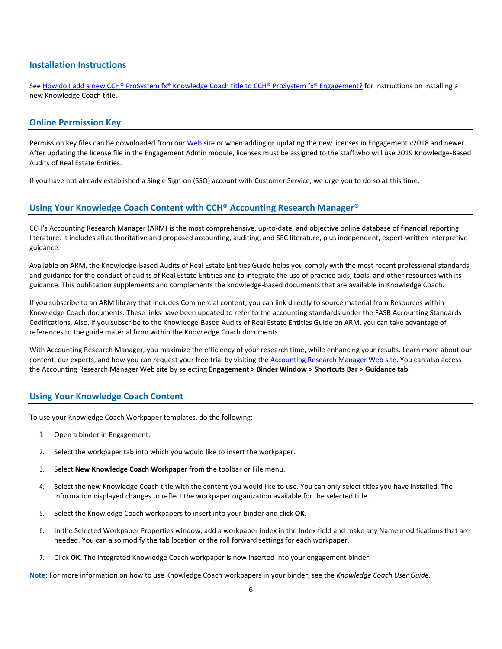#### **Installation Instructions**

See [How do I add a new CCH® ProSystem fx® Knowledge Coach title to CCH® ProSystem fx® Engagement?](https://support.cch.com/kb/solution/000033707/sw30271) for instructions on installing a new Knowledge Coach title.

#### **Online Permission Key**

Permission key files can be downloaded from our [Web](https://prosystemfxsupport.tax.cchgroup.com/permkey/download.aspx) site or when adding or updating the new licenses in Engagement v2018 and newer. After updating the license file in the Engagement Admin module, licenses must be assigned to the staff who will use 2019 Knowledge-Based Audits of Real Estate Entities.

If you have not already established a Single Sign-on (SSO) account with Customer Service, we urge you to do so at this time.

## **Using Your Knowledge Coach Content with CCH® Accounting Research Manager®**

CCH's Accounting Research Manager (ARM) is the most comprehensive, up-to-date, and objective online database of financial reporting literature. It includes all authoritative and proposed accounting, auditing, and SEC literature, plus independent, expert-written interpretive guidance.

Available on ARM, the Knowledge-Based Audits of Real Estate Entities Guide helps you comply with the most recent professional standards and guidance for the conduct of audits of Real Estate Entities and to integrate the use of practice aids, tools, and other resources with its guidance. This publication supplements and complements the knowledge-based documents that are available in Knowledge Coach.

If you subscribe to an ARM library that includes Commercial content, you can link directly to source material from Resources within Knowledge Coach documents. These links have been updated to refer to the accounting standards under the FASB Accounting Standards Codifications. Also, if you subscribe to the Knowledge-Based Audits of Real Estate Entities Guide on ARM, you can take advantage of references to the guide material from within the Knowledge Coach documents.

With Accounting Research Manager, you maximize the efficiency of your research time, while enhancing your results. Learn more about our content, our experts, and how you can request your free trial by visiting the [Accounting Research Manager Web](http://www.accountingresearchmanager.com/) site. You can also access the Accounting Research Manager Web site by selecting **Engagement > Binder Window > Shortcuts Bar > Guidance tab**.

#### **Using Your Knowledge Coach Content**

To use your Knowledge Coach Workpaper templates, do the following:

- 1. Open a binder in Engagement.
- 2. Select the workpaper tab into which you would like to insert the workpaper.
- 3. Select **New Knowledge Coach Workpaper** from the toolbar or File menu.
- 4. Select the new Knowledge Coach title with the content you would like to use. You can only select titles you have installed. The information displayed changes to reflect the workpaper organization available for the selected title.
- 5. Select the Knowledge Coach workpapers to insert into your binder and click **OK**.
- 6. In the Selected Workpaper Properties window, add a workpaper index in the Index field and make any Name modifications that are needed. You can also modify the tab location or the roll forward settings for each workpaper.
- 7. Click **OK**. The integrated Knowledge Coach workpaper is now inserted into your engagement binder.

**Note**: For more information on how to use Knowledge Coach workpapers in your binder, see the *Knowledge Coach User Guide*.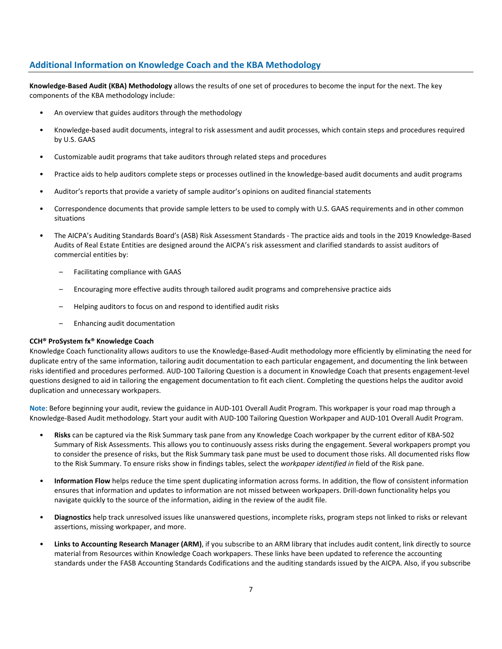## **Additional Information on Knowledge Coach and the KBA Methodology**

**Knowledge-Based Audit (KBA) Methodology** allows the results of one set of procedures to become the input for the next. The key components of the KBA methodology include:

- An overview that guides auditors through the methodology
- Knowledge-based audit documents, integral to risk assessment and audit processes, which contain steps and procedures required by U.S. GAAS
- Customizable audit programs that take auditors through related steps and procedures
- Practice aids to help auditors complete steps or processes outlined in the knowledge-based audit documents and audit programs
- Auditor's reports that provide a variety of sample auditor's opinions on audited financial statements
- Correspondence documents that provide sample letters to be used to comply with U.S. GAAS requirements and in other common situations
- The AICPA's Auditing Standards Board's (ASB) Risk Assessment Standards The practice aids and tools in the 2019 Knowledge-Based Audits of Real Estate Entities are designed around the AICPA's risk assessment and clarified standards to assist auditors of commercial entities by:
	- Facilitating compliance with GAAS
	- Encouraging more effective audits through tailored audit programs and comprehensive practice aids
	- Helping auditors to focus on and respond to identified audit risks
	- Enhancing audit documentation

#### **CCH® ProSystem fx® Knowledge Coach**

Knowledge Coach functionality allows auditors to use the Knowledge-Based-Audit methodology more efficiently by eliminating the need for duplicate entry of the same information, tailoring audit documentation to each particular engagement, and documenting the link between risks identified and procedures performed. AUD-100 Tailoring Question is a document in Knowledge Coach that presents engagement-level questions designed to aid in tailoring the engagement documentation to fit each client. Completing the questions helps the auditor avoid duplication and unnecessary workpapers.

**Note**: Before beginning your audit, review the guidance in AUD-101 Overall Audit Program. This workpaper is your road map through a Knowledge-Based Audit methodology. Start your audit with AUD-100 Tailoring Question Workpaper and AUD-101 Overall Audit Program.

- **Risks** can be captured via the Risk Summary task pane from any Knowledge Coach workpaper by the current editor of KBA-502 Summary of Risk Assessments. This allows you to continuously assess risks during the engagement. Several workpapers prompt you to consider the presence of risks, but the Risk Summary task pane must be used to document those risks. All documented risks flow to the Risk Summary. To ensure risks show in findings tables, select the *workpaper identified in* field of the Risk pane.
- **Information Flow** helps reduce the time spent duplicating information across forms. In addition, the flow of consistent information ensures that information and updates to information are not missed between workpapers. Drill-down functionality helps you navigate quickly to the source of the information, aiding in the review of the audit file.
- **Diagnostics** help track unresolved issues like unanswered questions, incomplete risks, program steps not linked to risks or relevant assertions, missing workpaper, and more.
- Links to Accounting Research Manager (ARM), if you subscribe to an ARM library that includes audit content, link directly to source material from Resources within Knowledge Coach workpapers. These links have been updated to reference the accounting standards under the FASB Accounting Standards Codifications and the auditing standards issued by the AICPA. Also, if you subscribe